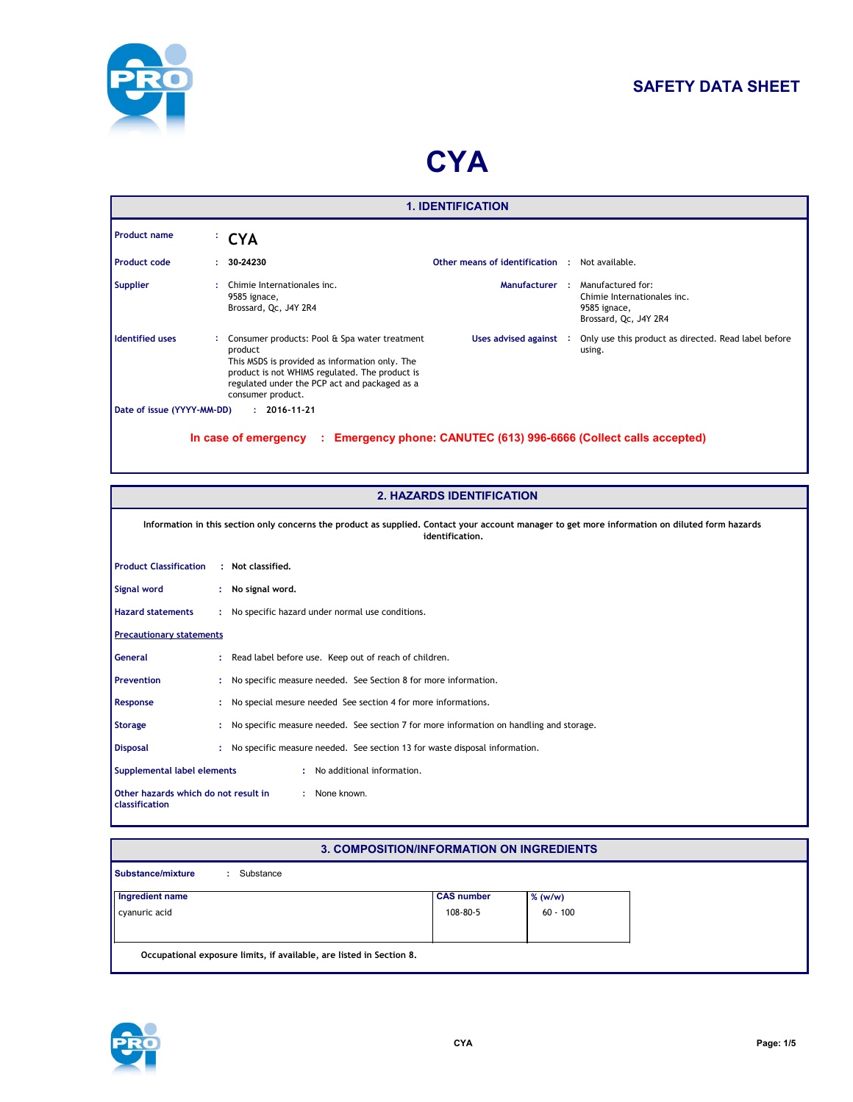

# **SAFETY DATA SHEET**

# **CYA**

|                            |                                                                                                                                                                                                                                    | <b>1. IDENTIFICATION</b>                                         |                                                                                           |
|----------------------------|------------------------------------------------------------------------------------------------------------------------------------------------------------------------------------------------------------------------------------|------------------------------------------------------------------|-------------------------------------------------------------------------------------------|
| <b>Product name</b>        | <sup>:</sup> CYA                                                                                                                                                                                                                   |                                                                  |                                                                                           |
| <b>Product code</b>        | 30-24230                                                                                                                                                                                                                           | Other means of identification :                                  | Not available.                                                                            |
| <b>Supplier</b>            | Chimie Internationales inc.<br>9585 ignace,<br>Brossard, Qc, J4Y 2R4                                                                                                                                                               | Manufacturer :                                                   | Manufactured for:<br>Chimie Internationales inc.<br>9585 ignace,<br>Brossard, Qc, J4Y 2R4 |
| <b>Identified uses</b>     | Consumer products: Pool & Spa water treatment<br>product<br>This MSDS is provided as information only. The<br>product is not WHIMS regulated. The product is<br>regulated under the PCP act and packaged as a<br>consumer product. | Uses advised against :                                           | Only use this product as directed. Read label before<br>using.                            |
| Date of issue (YYYY-MM-DD) | $: 2016 - 11 - 21$                                                                                                                                                                                                                 |                                                                  |                                                                                           |
|                            | In case of emergency<br>-11                                                                                                                                                                                                        | Emergency phone: CANUTEC (613) 996-6666 (Collect calls accepted) |                                                                                           |

|                                                        |    | <b>2. HAZARDS IDENTIFICATION</b>                                                                                                                                   |
|--------------------------------------------------------|----|--------------------------------------------------------------------------------------------------------------------------------------------------------------------|
|                                                        |    | Information in this section only concerns the product as supplied. Contact your account manager to get more information on diluted form hazards<br>identification. |
| <b>Product Classification</b>                          |    | : Not classified.                                                                                                                                                  |
| Signal word                                            |    | : No signal word.                                                                                                                                                  |
| <b>Hazard statements</b>                               |    | : No specific hazard under normal use conditions.                                                                                                                  |
| <b>Precautionary statements</b>                        |    |                                                                                                                                                                    |
| General                                                |    | : Read label before use. Keep out of reach of children.                                                                                                            |
| <b>Prevention</b>                                      | ÷. | No specific measure needed. See Section 8 for more information.                                                                                                    |
| Response                                               |    | No special mesure needed See section 4 for more informations.                                                                                                      |
| <b>Storage</b>                                         |    | No specific measure needed. See section 7 for more information on handling and storage.                                                                            |
| <b>Disposal</b>                                        |    | : No specific measure needed. See section 13 for waste disposal information.                                                                                       |
| Supplemental label elements                            |    | : No additional information.                                                                                                                                       |
| Other hazards which do not result in<br>classification |    | : None known.                                                                                                                                                      |

#### **3. COMPOSITION/INFORMATION ON INGREDIENTS**

| <b>Substance/mixture</b><br>Substance                                |                   |            |
|----------------------------------------------------------------------|-------------------|------------|
| Ingredient name                                                      | <b>CAS number</b> | $%$ (w/w)  |
| cyanuric acid                                                        | 108-80-5          | $60 - 100$ |
|                                                                      |                   |            |
| Occupational exposure limits, if available, are listed in Section 8. |                   |            |

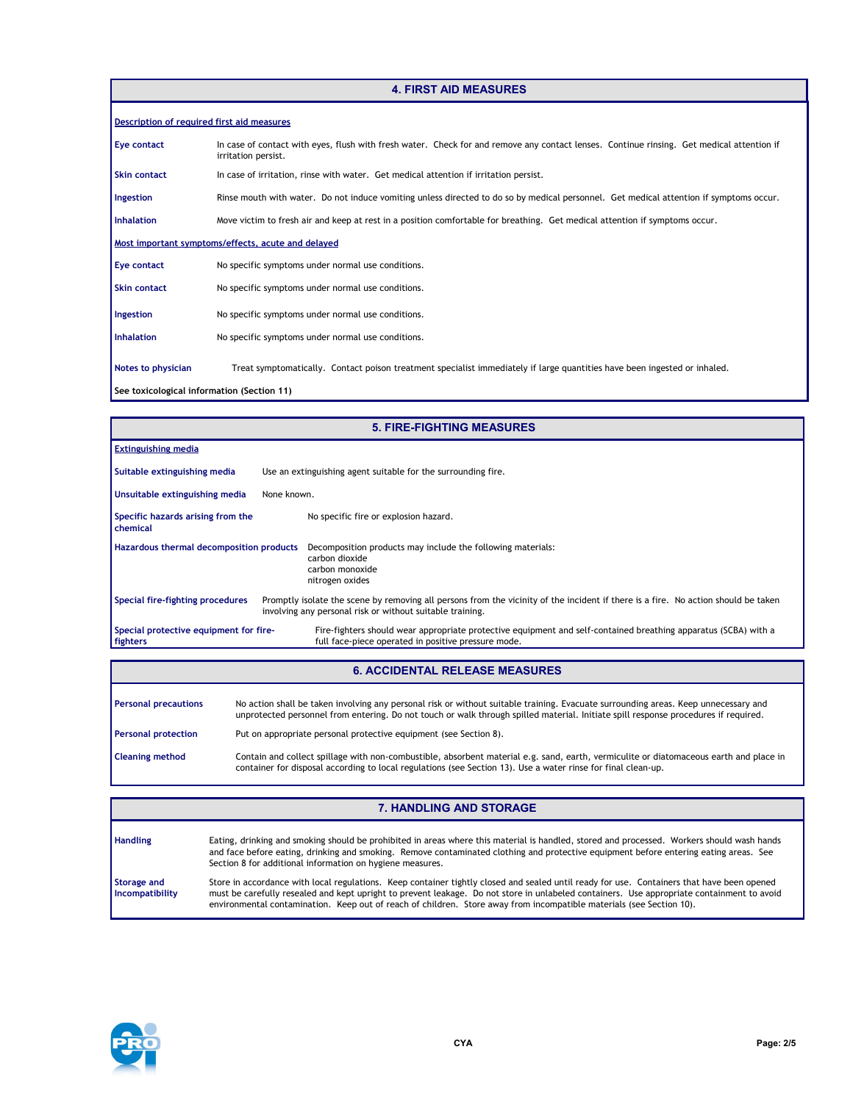# **4. FIRST AID MEASURES**

| Description of required first aid measures |                                                                                                                                                                  |
|--------------------------------------------|------------------------------------------------------------------------------------------------------------------------------------------------------------------|
| Eye contact                                | In case of contact with eyes, flush with fresh water. Check for and remove any contact lenses. Continue rinsing. Get medical attention if<br>irritation persist. |
| <b>Skin contact</b>                        | In case of irritation, rinse with water. Get medical attention if irritation persist.                                                                            |
| Ingestion                                  | Rinse mouth with water. Do not induce vomiting unless directed to do so by medical personnel. Get medical attention if symptoms occur.                           |
| <b>Inhalation</b>                          | Move victim to fresh air and keep at rest in a position comfortable for breathing. Get medical attention if symptoms occur.                                      |
|                                            | Most important symptoms/effects, acute and delayed                                                                                                               |
| Eye contact                                | No specific symptoms under normal use conditions.                                                                                                                |
| <b>Skin contact</b>                        | No specific symptoms under normal use conditions.                                                                                                                |
| Ingestion                                  | No specific symptoms under normal use conditions.                                                                                                                |
| <b>Inhalation</b>                          | No specific symptoms under normal use conditions.                                                                                                                |
| Notes to physician                         | Treat symptomatically. Contact poison treatment specialist immediately if large quantities have been ingested or inhaled.                                        |
| See toxicological information (Section 11) |                                                                                                                                                                  |

|                                                      | <b>5. FIRE-FIGHTING MEASURES</b>                                                                                                                                                                |
|------------------------------------------------------|-------------------------------------------------------------------------------------------------------------------------------------------------------------------------------------------------|
| <b>Extinguishing media</b>                           |                                                                                                                                                                                                 |
| Suitable extinguishing media                         | Use an extinguishing agent suitable for the surrounding fire.                                                                                                                                   |
| Unsuitable extinguishing media                       | None known.                                                                                                                                                                                     |
| Specific hazards arising from the<br>chemical        | No specific fire or explosion hazard.                                                                                                                                                           |
| Hazardous thermal decomposition products             | Decomposition products may include the following materials:<br>carbon dioxide<br>carbon monoxide<br>nitrogen oxides                                                                             |
| Special fire-fighting procedures                     | Promptly isolate the scene by removing all persons from the vicinity of the incident if there is a fire. No action should be taken<br>involving any personal risk or without suitable training. |
| Special protective equipment for fire-<br>  fighters | Fire-fighters should wear appropriate protective equipment and self-contained breathing apparatus (SCBA) with a<br>full face-piece operated in positive pressure mode.                          |

#### **6. ACCIDENTAL RELEASE MEASURES**

| <b>Personal precautions</b> | No action shall be taken involving any personal risk or without suitable training. Evacuate surrounding areas. Keep unnecessary and<br>unprotected personnel from entering. Do not touch or walk through spilled material. Initiate spill response procedures if required. |
|-----------------------------|----------------------------------------------------------------------------------------------------------------------------------------------------------------------------------------------------------------------------------------------------------------------------|
| <b>Personal protection</b>  | Put on appropriate personal protective equipment (see Section 8).                                                                                                                                                                                                          |
| <b>Cleaning method</b>      | Contain and collect spillage with non-combustible, absorbent material e.g. sand, earth, vermiculite or diatomaceous earth and place in<br>container for disposal according to local regulations (see Section 13). Use a water rinse for final clean-up.                    |

|                                | <b>7. HANDLING AND STORAGE</b>                                                                                                                                                                                                                                                                                                                                                                                   |
|--------------------------------|------------------------------------------------------------------------------------------------------------------------------------------------------------------------------------------------------------------------------------------------------------------------------------------------------------------------------------------------------------------------------------------------------------------|
| <b>Handling</b>                | Eating, drinking and smoking should be prohibited in areas where this material is handled, stored and processed. Workers should wash hands<br>and face before eating, drinking and smoking. Remove contaminated clothing and protective equipment before entering eating areas. See<br>Section 8 for additional information on hygiene measures.                                                                 |
| Storage and<br>Incompatibility | Store in accordance with local regulations. Keep container tightly closed and sealed until ready for use. Containers that have been opened<br>must be carefully resealed and kept upright to prevent leakage. Do not store in unlabeled containers. Use appropriate containment to avoid<br>environmental contamination. Keep out of reach of children. Store away from incompatible materials (see Section 10). |

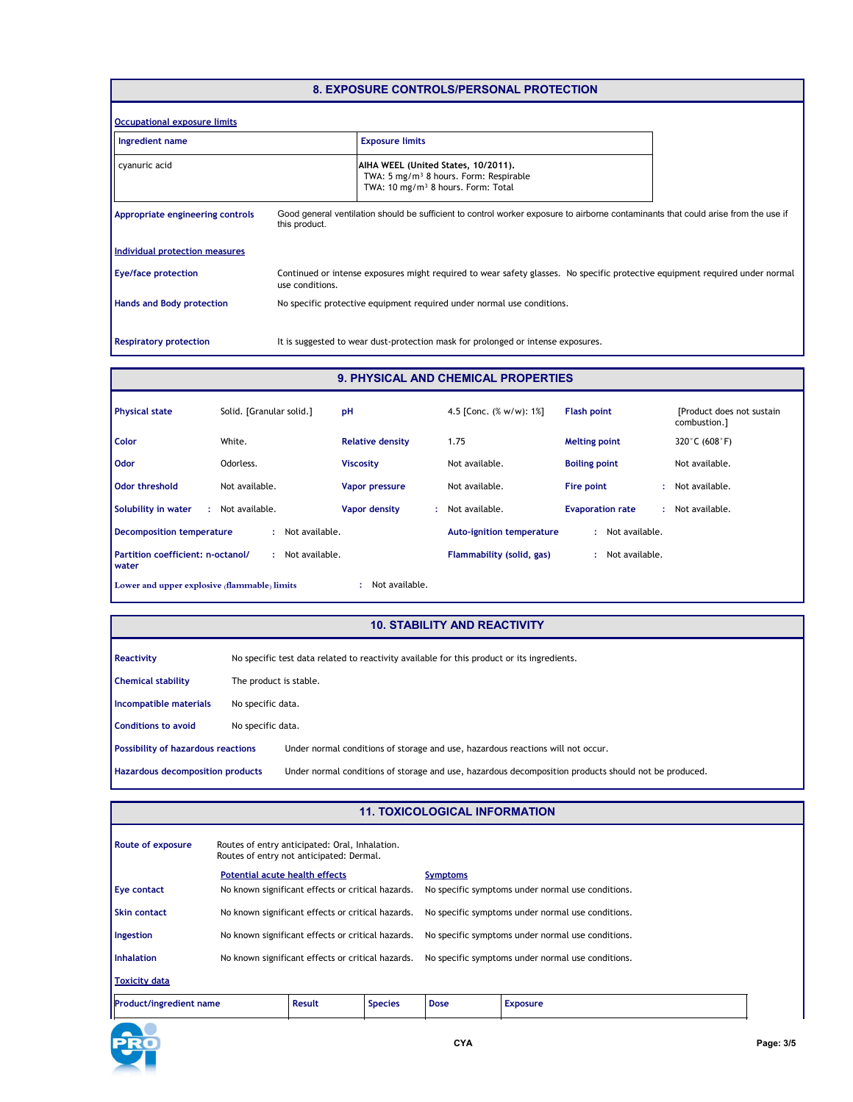# **8. EXPOSURE CONTROLS/PERSONAL PROTECTION**

| Occupational exposure limits     |                 |                                                                                                                                             |  |
|----------------------------------|-----------------|---------------------------------------------------------------------------------------------------------------------------------------------|--|
| Ingredient name                  |                 | <b>Exposure limits</b>                                                                                                                      |  |
| cyanuric acid                    |                 | AIHA WEEL (United States, 10/2011).<br>TWA: 5 mg/m <sup>3</sup> 8 hours. Form: Respirable<br>TWA: 10 mg/m <sup>3</sup> 8 hours. Form: Total |  |
| Appropriate engineering controls | this product.   | Good general ventilation should be sufficient to control worker exposure to airborne contaminants that could arise from the use if          |  |
| Individual protection measures   |                 |                                                                                                                                             |  |
| <b>Eye/face protection</b>       | use conditions. | Continued or intense exposures might required to wear safety glasses. No specific protective equipment required under normal                |  |
| <b>Hands and Body protection</b> |                 | No specific protective equipment required under normal use conditions.                                                                      |  |
| <b>Respiratory protection</b>    |                 | It is suggested to wear dust-protection mask for prolonged or intense exposures.                                                            |  |

#### **9. PHYSICAL AND CHEMICAL PROPERTIES**

| <b>Physical state</b>                        | Solid. [Granular solid.] | pH                      | 4.5 [Conc. $(\% w/w)$ : 1%]      | <b>Flash point</b>           | [Product does not sustain]<br>combustion.] |
|----------------------------------------------|--------------------------|-------------------------|----------------------------------|------------------------------|--------------------------------------------|
| Color                                        | White.                   | <b>Relative density</b> | 1.75                             | <b>Melting point</b>         | 320°C (608°F)                              |
| Odor                                         | Odorless.                | <b>Viscosity</b>        | Not available.                   | <b>Boiling point</b>         | Not available.                             |
| Odor threshold                               | Not available.           | Vapor pressure          | Not available.                   | Fire point                   | : Not available.                           |
| Solubility in water<br>÷.                    | Not available.           | Vapor density<br>÷.     | Not available.                   | <b>Evaporation rate</b><br>÷ | Not available.                             |
| <b>Decomposition temperature</b>             | Not available.           |                         | <b>Auto-ignition temperature</b> | Not available.<br>и.         |                                            |
| Partition coefficient: n-octanol/<br>water   | Not available.<br>٠      |                         | Flammability (solid, gas)        | Not available.<br>÷          |                                            |
| Lower and upper explosive (flammable) limits |                          | Not available.          |                                  |                              |                                            |

#### **10. STABILITY AND REACTIVITY**

| Reactivity                                |                        | No specific test data related to reactivity available for this product or its ingredients.           |
|-------------------------------------------|------------------------|------------------------------------------------------------------------------------------------------|
| <b>Chemical stability</b>                 | The product is stable. |                                                                                                      |
| Incompatible materials                    | No specific data.      |                                                                                                      |
| <b>Conditions to avoid</b>                | No specific data.      |                                                                                                      |
| <b>Possibility of hazardous reactions</b> |                        | Under normal conditions of storage and use, hazardous reactions will not occur.                      |
| Hazardous decomposition products          |                        | Under normal conditions of storage and use, hazardous decomposition products should not be produced. |

#### **11. TOXICOLOGICAL INFORMATION**

| <b>Route of exposure</b>       |                                       | Routes of entry anticipated: Oral, Inhalation.<br>Routes of entry not anticipated: Dermal. |                |                 |                                                   |
|--------------------------------|---------------------------------------|--------------------------------------------------------------------------------------------|----------------|-----------------|---------------------------------------------------|
|                                | <b>Potential acute health effects</b> |                                                                                            |                | <b>Symptoms</b> |                                                   |
| <b>Eye contact</b>             |                                       | No known significant effects or critical hazards.                                          |                |                 | No specific symptoms under normal use conditions. |
| <b>Skin contact</b>            |                                       | No known significant effects or critical hazards.                                          |                |                 | No specific symptoms under normal use conditions. |
| Ingestion                      |                                       | No known significant effects or critical hazards.                                          |                |                 | No specific symptoms under normal use conditions. |
| <b>Inhalation</b>              |                                       | No known significant effects or critical hazards.                                          |                |                 | No specific symptoms under normal use conditions. |
| <b>Toxicity data</b>           |                                       |                                                                                            |                |                 |                                                   |
| <b>Product/ingredient name</b> |                                       | <b>Result</b>                                                                              | <b>Species</b> | <b>Dose</b>     | <b>Exposure</b>                                   |

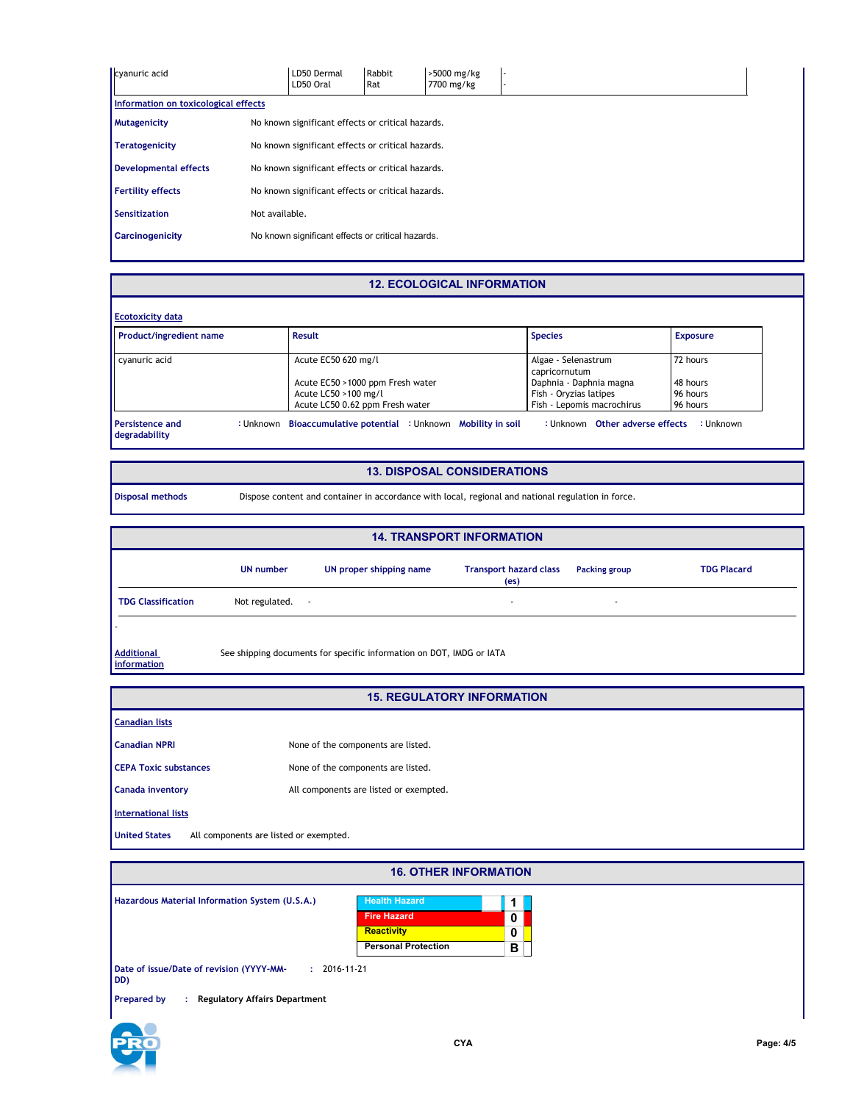| cyanuric acid                        |                                                   | LD50 Dermal<br>LD50 Oral                          | Rabbit<br>Rat | >5000 mg/kg<br>7700 mg/kg |  |  |
|--------------------------------------|---------------------------------------------------|---------------------------------------------------|---------------|---------------------------|--|--|
| Information on toxicological effects |                                                   |                                                   |               |                           |  |  |
| Mutagenicity                         |                                                   | No known significant effects or critical hazards. |               |                           |  |  |
| <b>Teratogenicity</b>                |                                                   | No known significant effects or critical hazards. |               |                           |  |  |
| <b>Developmental effects</b>         | No known significant effects or critical hazards. |                                                   |               |                           |  |  |
| <b>Fertility effects</b>             | No known significant effects or critical hazards. |                                                   |               |                           |  |  |
| <b>Sensitization</b>                 | Not available.                                    |                                                   |               |                           |  |  |
| <b>Carcinogenicity</b>               |                                                   | No known significant effects or critical hazards. |               |                           |  |  |
|                                      |                                                   |                                                   |               |                           |  |  |

#### **12. ECOLOGICAL INFORMATION**

| <b>Ecotoxicity data</b>        |  |                                  |                                      |                 |
|--------------------------------|--|----------------------------------|--------------------------------------|-----------------|
| <b>Product/ingredient name</b> |  | Result                           | <b>Species</b>                       | <b>Exposure</b> |
| cyanuric acid                  |  | Acute EC50 620 mg/l              | Algae - Selenastrum<br>capricornutum | 72 hours        |
|                                |  | Acute EC50 >1000 ppm Fresh water | Daphnia - Daphnia magna              | 48 hours        |
|                                |  | Acute LC50 >100 mg/l             | Fish - Oryzias latipes               | 96 hours        |
|                                |  | Acute LC50 0.62 ppm Fresh water  | Fish - Lepomis macrochirus           | 96 hours        |

### **13. DISPOSAL CONSIDERATIONS**

**Disposal methods** Dispose content and container in accordance with local, regional and national regulation in force.

|                                  |                          |                                                                      | <b>14. TRANSPORT INFORMATION</b>                   |               |                    |
|----------------------------------|--------------------------|----------------------------------------------------------------------|----------------------------------------------------|---------------|--------------------|
|                                  | <b>UN number</b>         | UN proper shipping name                                              | <b>Transport hazard class</b><br>(e <sub>s</sub> ) | Packing group | <b>TDG Placard</b> |
| <b>TDG Classification</b>        | Not regulated.<br>$\sim$ |                                                                      | $\overline{\phantom{a}}$                           |               |                    |
|                                  |                          |                                                                      |                                                    |               |                    |
| <b>Additional</b><br>information |                          | See shipping documents for specific information on DOT, IMDG or IATA |                                                    |               |                    |

#### **15. REGULATORY INFORMATION**

| <b>13. REGULATURT INFORMATION</b>                              |                                        |  |  |  |  |
|----------------------------------------------------------------|----------------------------------------|--|--|--|--|
| <b>Canadian lists</b>                                          |                                        |  |  |  |  |
| <b>Canadian NPRI</b>                                           | None of the components are listed.     |  |  |  |  |
| <b>CEPA Toxic substances</b>                                   | None of the components are listed.     |  |  |  |  |
| <b>Canada inventory</b>                                        | All components are listed or exempted. |  |  |  |  |
| <b>International lists</b>                                     |                                        |  |  |  |  |
| <b>United States</b><br>All components are listed or exempted. |                                        |  |  |  |  |

| <b>16. OTHER INFORMATION</b>                                          |                                            |        |  |  |
|-----------------------------------------------------------------------|--------------------------------------------|--------|--|--|
| Hazardous Material Information System (U.S.A.)                        | <b>Health Hazard</b><br><b>Fire Hazard</b> | 0      |  |  |
|                                                                       | Reactivity<br><b>Personal Protection</b>   | 0<br>в |  |  |
| $: 2016 - 11 - 21$<br>Date of issue/Date of revision (YYYY-MM-<br>DD) |                                            |        |  |  |
| <b>Regulatory Affairs Department</b><br><b>Prepared by</b><br>÷       |                                            |        |  |  |



٦